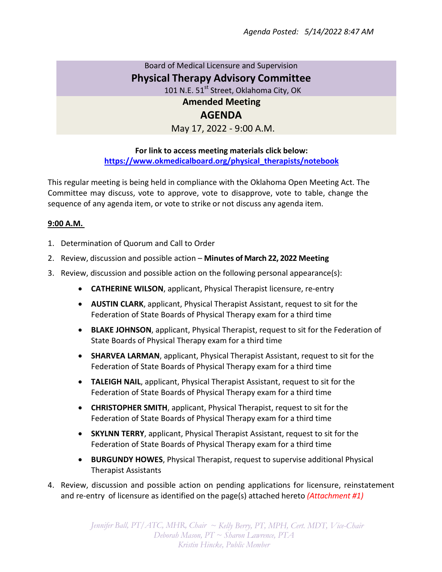## Board of Medical Licensure and Supervision **Physical Therapy Advisory Committee** 101 N.E. 51<sup>st</sup> Street, Oklahoma City, OK **Amended Meeting**

## **AGENDA**

May 17, 2022 - 9:00 A.M.

## **For link to access meeting materials click below: https://www.okmedicalboard.org/physical\_therapists/notebook**

This regular meeting is being held in compliance with the Oklahoma Open Meeting Act. The Committee may discuss, vote to approve, vote to disapprove, vote to table, change the sequence of any agenda item, or vote to strike or not discuss any agenda item.

## **9:00 A.M.**

- 1. Determination of Quorum and Call to Order
- 2. Review, discussion and possible action **Minutes of March 22, 2022 Meeting**
- 3. Review, discussion and possible action on the following personal appearance(s):
	- **CATHERINE WILSON**, applicant, Physical Therapist licensure, re-entry
	- **AUSTIN CLARK**, applicant, Physical Therapist Assistant, request to sit for the Federation of State Boards of Physical Therapy exam for a third time
	- **BLAKE JOHNSON**, applicant, Physical Therapist, request to sit for the Federation of State Boards of Physical Therapy exam for a third time
	- **SHARVEA LARMAN**, applicant, Physical Therapist Assistant, request to sit for the Federation of State Boards of Physical Therapy exam for a third time
	- **TALEIGH NAIL**, applicant, Physical Therapist Assistant, request to sit for the Federation of State Boards of Physical Therapy exam for a third time
	- **CHRISTOPHER SMITH**, applicant, Physical Therapist, request to sit for the Federation of State Boards of Physical Therapy exam for a third time
	- **SKYLNN TERRY**, applicant, Physical Therapist Assistant, request to sit for the Federation of State Boards of Physical Therapy exam for a third time
	- **BURGUNDY HOWES**, Physical Therapist, request to supervise additional Physical Therapist Assistants
- 4. Review, discussion and possible action on pending applications for licensure, reinstatement and re-entry of licensure as identified on the page(s) attached hereto *(Attachment #1)*